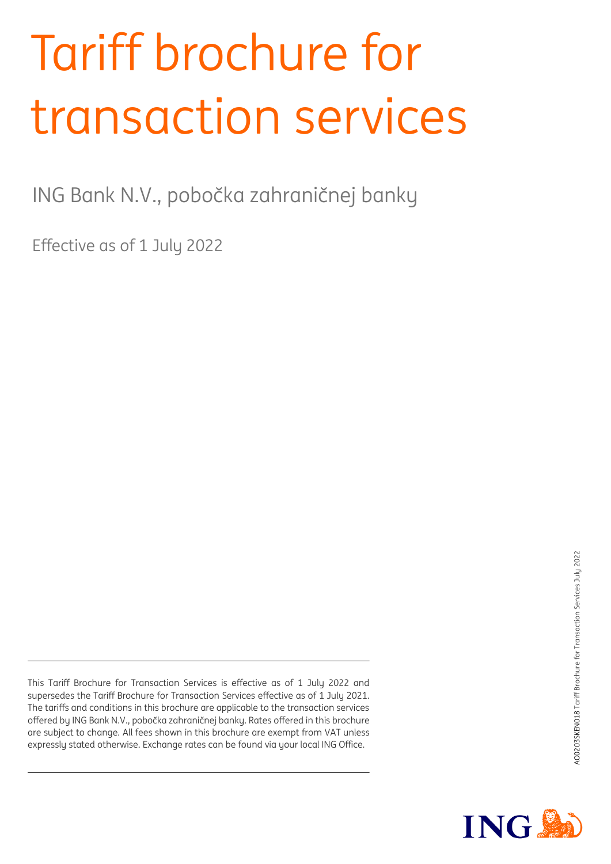# Tariff brochure for transaction services

ING Bank N.V., pobočka zahraničnej banky

Effective as of 1 July 2022

This Tariff Brochure for Transaction Services is effective as of 1 July 2022 and supersedes the Tariff Brochure for Transaction Services effective as of 1 July 2021. The tariffs and conditions in this brochure are applicable to the transaction services offered by ING Bank N.V., pobočka zahraničnej banky. Rates offered in this brochure are subject to change. All fees shown in this brochure are exempt from VAT unless expressly stated otherwise. Exchange rates can be found via your local ING Office.

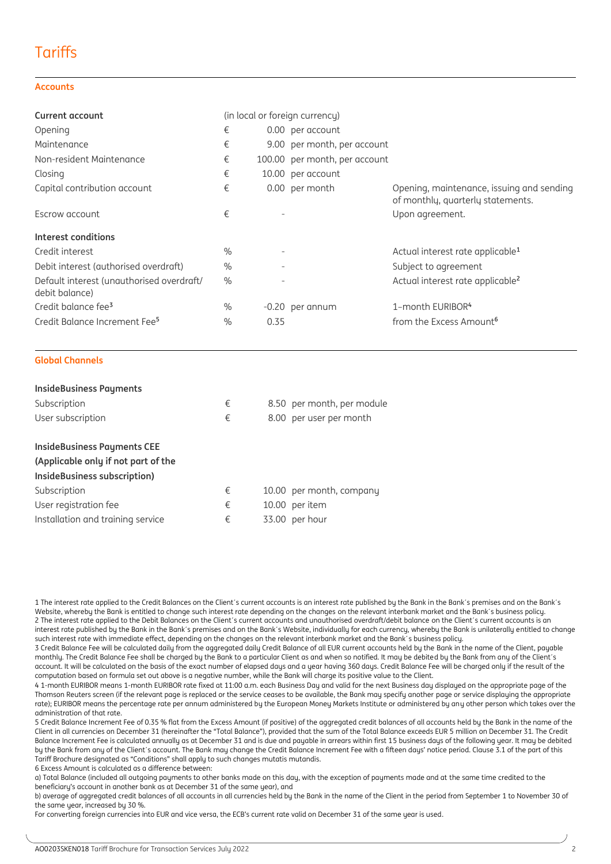# **Tariffs**

#### **Accounts**

| <b>Current account</b>                                      |               |                          | (in local or foreign currency) |                                                                                |
|-------------------------------------------------------------|---------------|--------------------------|--------------------------------|--------------------------------------------------------------------------------|
| Opening                                                     | €             |                          | 0.00 per account               |                                                                                |
| Maintenance                                                 | €             |                          | 9.00 per month, per account    |                                                                                |
| Non-resident Maintenance                                    | €             |                          | 100.00 per month, per account  |                                                                                |
| Closing                                                     | €             |                          | 10.00 per account              |                                                                                |
| Capital contribution account                                | €             |                          | 0.00 per month                 | Opening, maintenance, issuing and sending<br>of monthly, quarterly statements. |
| Escrow account                                              | €             |                          |                                | Upon agreement.                                                                |
| Interest conditions                                         |               |                          |                                |                                                                                |
| Credit interest                                             | $\frac{0}{0}$ | $\overline{\phantom{a}}$ |                                | Actual interest rate applicable <sup>1</sup>                                   |
| Debit interest (authorised overdraft)                       | $\frac{0}{0}$ | $\overline{\phantom{m}}$ |                                | Subject to agreement                                                           |
| Default interest (unauthorised overdraft/<br>debit balance) | $\frac{0}{0}$ | $\overline{\phantom{a}}$ |                                | Actual interest rate applicable <sup>2</sup>                                   |
| Credit balance fee <sup>3</sup>                             | $\frac{0}{0}$ |                          | $-0.20$ per annum              | 1-month EURIBOR <sup>4</sup>                                                   |
| Credit Balance Increment Fee <sup>5</sup>                   | $\frac{0}{0}$ | 0.35                     |                                | from the Excess Amount <sup>6</sup>                                            |

#### **Global Channels**

| <b>InsideBusiness Payments</b>      |   |                            |
|-------------------------------------|---|----------------------------|
| Subscription                        | € | 8.50 per month, per module |
| User subscription                   | € | 8.00 per user per month    |
| <b>InsideBusiness Payments CEE</b>  |   |                            |
| (Applicable only if not part of the |   |                            |
| InsideBusiness subscription)        |   |                            |
| Subscription                        | € | 10.00 per month, company   |
| User registration fee               | € | 10.00 per item             |
| Installation and training service   | € | 33.00 per hour             |

1 The interest rate applied to the Credit Balances on the Client´s current accounts is an interest rate published by the Bank in the Bank´s premises and on the Bank´s Website, whereby the Bank is entitled to change such interest rate depending on the changes on the relevant interbank market and the Bank´s business policy. 2 The interest rate applied to the Debit Balances on the Client's current accounts and unauthorised overdraft/debit balance on the Client's current accounts is an interest rate published by the Bank in the Bank´s premises and on the Bank´s Website, individually for each currency, whereby the Bank is unilaterally entitled to change such interest rate with immediate effect, depending on the changes on the relevant interbank market and the Bank´s business policy.

3 Credit Balance Fee will be calculated daily from the aggregated daily Credit Balance of all EUR current accounts held by the Bank in the name of the Client, payable monthly. The Credit Balance Fee shall be charged by the Bank to a particular Client as and when so notified. It may be debited by the Bank from any of the Client´s account. It will be calculated on the basis of the exact number of elapsed days and a year having 360 days. Credit Balance Fee will be charged only if the result of the computation based on formula set out above is a negative number, while the Bank will charge its positive value to the Client.

4 1-month EURIBOR means 1-month EURIBOR rate fixed at 11:00 a.m. each Business Day and valid for the next Business day displayed on the appropriate page of the Thomson Reuters screen (if the relevant page is replaced or the service ceases to be available, the Bank may specify another page or service displaying the appropriate rate); EURIBOR means the percentage rate per annum administered by the European Money Markets Institute or administered by any other person which takes over the administration of that rate.

5 Credit Balance Increment Fee of 0.35 % flat from the Excess Amount (if positive) of the aggregated credit balances of all accounts held by the Bank in the name of the Client in all currencies on December 31 (hereinafter the "Total Balance"), provided that the sum of the Total Balance exceeds EUR 5 million on December 31. The Credit Balance Increment Fee is calculated annually as at December 31 and is due and payable in arrears within first 15 business days of the following year. It may be debited by the Bank from any of the Client's account. The Bank may change the Credit Balance Increment Fee with a fifteen days' notice period. Clause 3.1 of the part of this Tariff Brochure designated as "Conditions" shall apply to such changes mutatis mutandis.

6 Excess Amount is calculated as a difference between:

a) Total Balance (included all outgoing payments to other banks made on this day, with the exception of payments made and at the same time credited to the beneficiary's account in another bank as at December 31 of the same year), and

b) average of aggregated credit balances of all accounts in all currencies held by the Bank in the name of the Client in the period from September 1 to November 30 of the same year, increased by 30 %.

For converting foreign currencies into EUR and vice versa, the ECB's current rate valid on December 31 of the same year is used.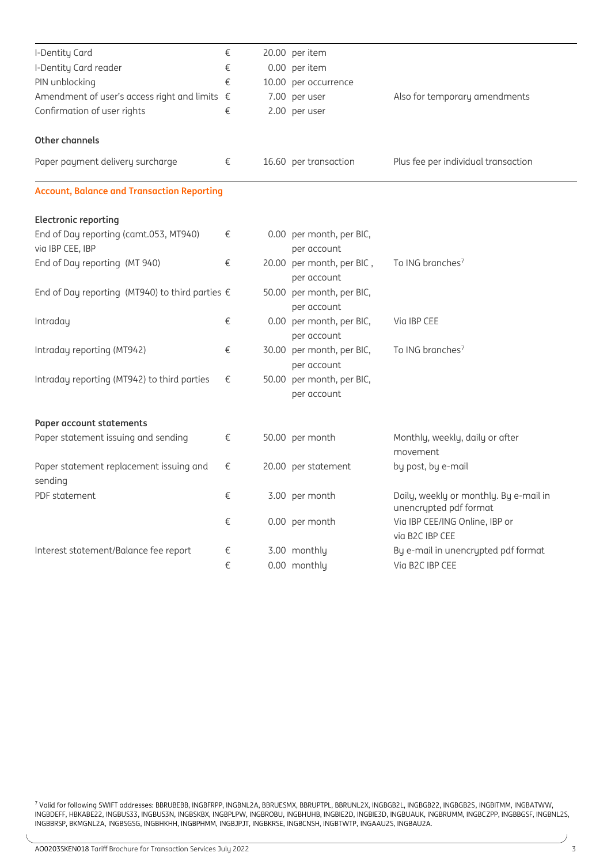| I-Dentity Card                                         | € | 20.00 per item            |                                        |
|--------------------------------------------------------|---|---------------------------|----------------------------------------|
| I-Dentity Card reader                                  | € | 0.00 per item             |                                        |
| PIN unblocking                                         | € | 10.00 per occurrence      |                                        |
| Amendment of user's access right and limits $\epsilon$ |   | 7.00 per user             | Also for temporary amendments          |
| Confirmation of user rights                            | € | 2.00 per user             |                                        |
| <b>Other channels</b>                                  |   |                           |                                        |
| Paper payment delivery surcharge                       | € | 16.60 per transaction     | Plus fee per individual transaction    |
| <b>Account, Balance and Transaction Reporting</b>      |   |                           |                                        |
| <b>Electronic reporting</b>                            |   |                           |                                        |
| End of Day reporting (camt.053, MT940)                 | € | 0.00 per month, per BIC,  |                                        |
| via IBP CEE, IBP                                       |   | per account               |                                        |
| End of Day reporting (MT 940)                          | € | 20.00 per month, per BIC, | To ING branches <sup>7</sup>           |
|                                                        |   | per account               |                                        |
| End of Day reporting (MT940) to third parties €        |   | 50.00 per month, per BIC, |                                        |
|                                                        |   | per account               |                                        |
| Intraday                                               | € | 0.00 per month, per BIC,  | Via IBP CEE                            |
|                                                        |   | per account               |                                        |
| Intraday reporting (MT942)                             | € | 30.00 per month, per BIC, | To ING branches <sup>7</sup>           |
|                                                        |   | per account               |                                        |
| Intraday reporting (MT942) to third parties            | € | 50.00 per month, per BIC, |                                        |
|                                                        |   | per account               |                                        |
| Paper account statements                               |   |                           |                                        |
| Paper statement issuing and sending                    | € | 50.00 per month           | Monthly, weekly, daily or after        |
|                                                        |   |                           | movement                               |
| Paper statement replacement issuing and<br>sending     | € | 20.00 per statement       | by post, by e-mail                     |
| PDF statement                                          | € | 3.00 per month            | Daily, weekly or monthly. By e-mail in |
|                                                        |   |                           | unencrypted pdf format                 |
|                                                        | € | 0.00 per month            | Via IBP CEE/ING Online, IBP or         |
|                                                        |   |                           | via B2C IBP CEE                        |
| Interest statement/Balance fee report                  | € | 3.00 monthly              | By e-mail in unencrypted pdf format    |
|                                                        | € | 0.00 monthly              | Via B2C IBP CEE                        |

<sup>7</sup> Valid for following SWIFT addresses: BBRUBEBB, INGBFRPP, INGBNL2A, BBRUESMX, BBRUPTPL, BBRUNL2X, INGBGB2L, INGBGB22, INGBGB2S, INGBITMM, INGBATWW, INGBDEFF, HBKABE22, INGBUS33, INGBUS3N, INGBSKBX, INGBPLPW, INGBROBU, INGBHUHB, INGBIE2D, INGBIE3D, INGBUAUK, INGBRUMM, INGBCZPP, INGBBGSF, INGBNL2S, INGBBRSP, BKMGNL2A, INGBSGSG, INGBHKHH, INGBPHMM, INGBJPJT, INGBKRSE, INGBCNSH, INGBTWTP, INGAAU2S, INGBAU2A.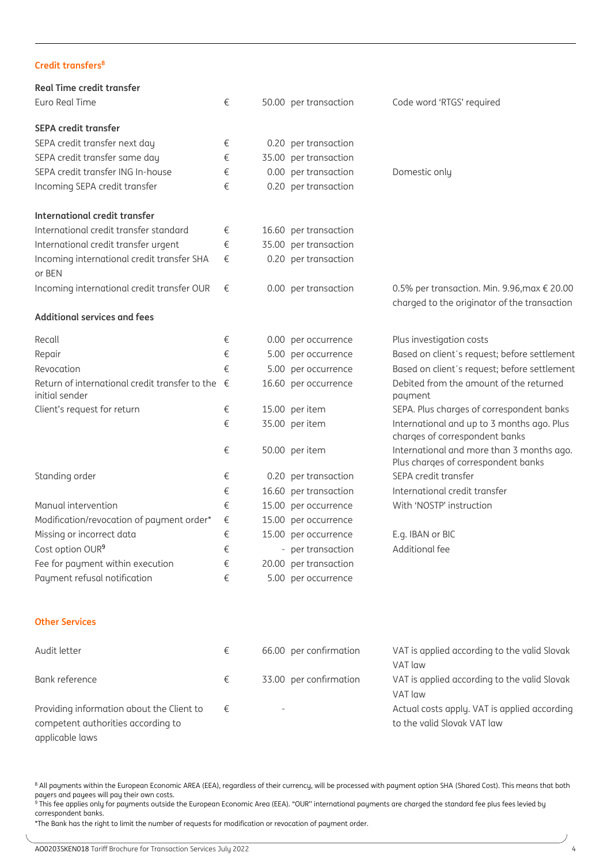#### **Credit transfers 8**

| <b>Real Time credit transfer</b>                                            |   |                       |                                                                                                       |
|-----------------------------------------------------------------------------|---|-----------------------|-------------------------------------------------------------------------------------------------------|
| Euro Real Time                                                              | € | 50.00 per transaction | Code word 'RTGS' required                                                                             |
| <b>SEPA credit transfer</b>                                                 |   |                       |                                                                                                       |
| SEPA credit transfer next day                                               | € | 0.20 per transaction  |                                                                                                       |
| SEPA credit transfer same day                                               | € | 35.00 per transaction |                                                                                                       |
| SEPA credit transfer ING In-house                                           | € | 0.00 per transaction  | Domestic only                                                                                         |
| Incoming SEPA credit transfer                                               | € | 0.20 per transaction  |                                                                                                       |
| International credit transfer                                               |   |                       |                                                                                                       |
| International credit transfer standard                                      | € | 16.60 per transaction |                                                                                                       |
| International credit transfer urgent                                        | € | 35.00 per transaction |                                                                                                       |
| Incoming international credit transfer SHA<br>or BEN                        | € | 0.20 per transaction  |                                                                                                       |
| Incoming international credit transfer OUR                                  | € | 0.00 per transaction  | 0.5% per transaction. Min. 9.96, max $\epsilon$ 20.00<br>charged to the originator of the transaction |
| <b>Additional services and fees</b>                                         |   |                       |                                                                                                       |
| Recall                                                                      | € | 0.00 per occurrence   | Plus investigation costs                                                                              |
| Repair                                                                      | € | 5.00 per occurrence   | Based on client's request; before settlement                                                          |
| Revocation                                                                  | € | 5.00 per occurrence   | Based on client's request; before settlement                                                          |
| Return of international credit transfer to the $\epsilon$<br>initial sender |   | 16.60 per occurrence  | Debited from the amount of the returned<br>payment                                                    |
| Client's request for return                                                 | € | 15.00 per item        | SEPA. Plus charges of correspondent banks                                                             |
|                                                                             | € | 35.00 per item        | International and up to 3 months ago. Plus<br>charges of correspondent banks                          |
|                                                                             | € | 50.00 per item        | International and more than 3 months ago.<br>Plus charges of correspondent banks                      |
| Standing order                                                              | € | 0.20 per transaction  | SEPA credit transfer                                                                                  |
|                                                                             | € | 16.60 per transaction | International credit transfer                                                                         |
| Manual intervention                                                         | € | 15.00 per occurrence  | With 'NOSTP' instruction                                                                              |
| Modification/revocation of payment order*                                   | € | 15.00 per occurrence  |                                                                                                       |
| Missing or incorrect data                                                   | € | 15.00 per occurrence  | E.g. IBAN or BIC                                                                                      |
| Cost option OUR <sup>9</sup>                                                | € | - per transaction     | Additional fee                                                                                        |
| Fee for payment within execution                                            | € | 20.00 per transaction |                                                                                                       |
| Payment refusal notification                                                | € | 5.00 per occurrence   |                                                                                                       |
| <b>Other Services</b>                                                       |   |                       |                                                                                                       |
| $A + A^{-1} + A^{-1} + A^{-1}$                                              |   |                       |                                                                                                       |

| Audit letter                              |            | 66.00 per confirmation | VAT is applied according to the valid Slovak |
|-------------------------------------------|------------|------------------------|----------------------------------------------|
|                                           |            |                        | VAT law                                      |
| Bank reference                            | €          | 33.00 per confirmation | VAT is applied according to the valid Slovak |
|                                           |            |                        | VAT law                                      |
| Providing information about the Client to | $\epsilon$ | -                      | Actual costs apply. VAT is applied according |
| competent authorities according to        |            |                        | to the valid Slovak VAT law                  |
| applicable laws                           |            |                        |                                              |

<sup>8</sup> All payments within the European Economic AREA (EEA), regardless of their currency, will be processed with payment option SHA (Shared Cost). This means that both payers and payees will pay their own costs.

 $^9$  This fee applies only for payments outside the European Economic Area (EEA). "OUR" international payments are charged the standard fee plus fees levied by correspondent banks.

\*The Bank has the right to limit the number of requests for modification or revocation of payment order.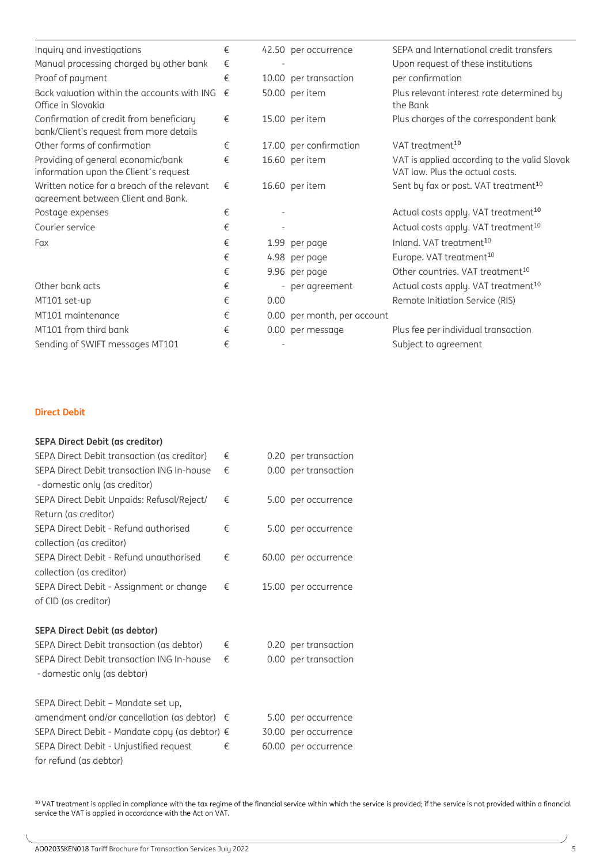| Inquiry and investigations                                                         | € |      | 42.50 per occurrence        | SEPA and International credit transfers                                         |
|------------------------------------------------------------------------------------|---|------|-----------------------------|---------------------------------------------------------------------------------|
| Manual processing charged by other bank                                            | € |      |                             | Upon request of these institutions                                              |
| Proof of payment                                                                   | € |      | 10.00 per transaction       | per confirmation                                                                |
| Back valuation within the accounts with ING<br>Office in Slovakia                  | € |      | 50.00 per item              | Plus relevant interest rate determined by<br>the Bank                           |
| Confirmation of credit from beneficiary<br>bank/Client's request from more details | € |      | 15.00 per item              | Plus charges of the correspondent bank                                          |
| Other forms of confirmation                                                        | € |      | 17.00 per confirmation      | VAT treatment <sup>10</sup>                                                     |
| Providing of general economic/bank<br>information upon the Client's request        | € |      | 16.60 per item              | VAT is applied according to the valid Slovak<br>VAT law. Plus the actual costs. |
| Written notice for a breach of the relevant<br>agreement between Client and Bank.  | € |      | 16.60 per item              | Sent by fax or post. VAT treatment <sup>10</sup>                                |
| Postage expenses                                                                   | € |      |                             | Actual costs apply. VAT treatment <sup>10</sup>                                 |
| Courier service                                                                    | € |      |                             | Actual costs apply. VAT treatment <sup>10</sup>                                 |
| Fax                                                                                | € |      | 1.99 per page               | Inland. VAT treatment <sup>10</sup>                                             |
|                                                                                    | € |      | 4.98 per page               | Europe. VAT treatment <sup>10</sup>                                             |
|                                                                                    | € |      | 9.96 per page               | Other countries. VAT treatment <sup>10</sup>                                    |
| Other bank acts                                                                    | € |      | - per agreement             | Actual costs apply. VAT treatment <sup>10</sup>                                 |
| MT101 set-up                                                                       | € | 0.00 |                             | Remote Initiation Service (RIS)                                                 |
| MT101 maintenance                                                                  | € |      | 0.00 per month, per account |                                                                                 |
| MT101 from third bank                                                              | € |      | 0.00 per message            | Plus fee per individual transaction                                             |
| Sending of SWIFT messages MT101                                                    | € |      |                             | Subject to agreement                                                            |

#### **Direct Debit**

| <b>SEPA Direct Debit (as creditor)</b>         |   |      |                      |
|------------------------------------------------|---|------|----------------------|
| SEPA Direct Debit transaction (as creditor)    | € |      | 0.20 per transaction |
| SEPA Direct Debit transaction ING In-house     | € |      | 0.00 per transaction |
| - domestic only (as creditor)                  |   |      |                      |
| SEPA Direct Debit Unpaids: Refusal/Reject/     | € |      | 5.00 per occurrence  |
| Return (as creditor)                           |   |      |                      |
| SEPA Direct Debit - Refund authorised          | € |      | 5.00 per occurrence  |
| collection (as creditor)                       |   |      |                      |
| SEPA Direct Debit - Refund unguthorised        | € |      | 60.00 per occurrence |
| collection (as creditor)                       |   |      |                      |
| SEPA Direct Debit - Assignment or change       | € |      | 15.00 per occurrence |
| of CID (as creditor)                           |   |      |                      |
| <b>SEPA Direct Debit (as debtor)</b>           |   |      |                      |
| SEPA Direct Debit transaction (as debtor)      | € |      | 0.20 per transaction |
| SEPA Direct Debit transaction ING In-house     | € |      | 0.00 per transaction |
| - domestic only (as debtor)                    |   |      |                      |
|                                                |   |      |                      |
| SEPA Direct Debit - Mandate set up,            |   |      |                      |
| amendment and/or cancellation (as debtor)      | € | 5.00 | per occurrence       |
| SEPA Direct Debit - Mandate copy (as debtor) € |   |      | 30.00 per occurrence |
| SEPA Direct Debit - Unjustified request        | € |      | 60.00 per occurrence |
| for refund (as debtor)                         |   |      |                      |

 $10$  VAT treatment is applied in compliance with the tax regime of the financial service within which the service is provided; if the service is not provided within a financial service the VAT is applied in accordance with the Act on VAT.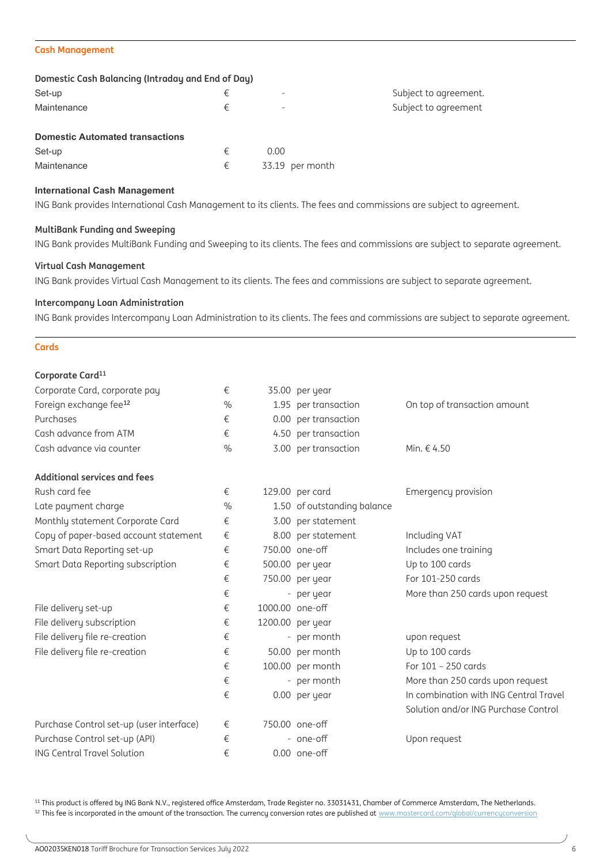#### **Cash Management**

| Domestic Cash Balancing (Intraday and End of Day) |   |                 |                       |
|---------------------------------------------------|---|-----------------|-----------------------|
| Set-up                                            | € |                 | Subject to agreement. |
| Maintenance                                       | € | $\qquad \qquad$ | Subject to agreement  |
| <b>Domestic Automated transactions</b>            |   |                 |                       |
| Set-up                                            | € | 0.00            |                       |
| Maintenance                                       | € | 33.19 per month |                       |

#### **International Cash Management**

ING Bank provides International Cash Management to its clients. The fees and commissions are subject to agreement.

#### **MultiBank Funding and Sweeping**

ING Bank provides MultiBank Funding and Sweeping to its clients. The fees and commissions are subject to separate agreement.

#### **Virtual Cash Management**

ING Bank provides Virtual Cash Management to its clients. The fees and commissions are subject to separate agreement.

#### **Intercompany Loan Administration**

ING Bank provides Intercompany Loan Administration to its clients. The fees and commissions are subject to separate agreement.

#### **Cards**

#### **Corporate Card<sup>11</sup>**

| Corporate Card, corporate pay            | €             |                 | 35.00 per year              |                                        |
|------------------------------------------|---------------|-----------------|-----------------------------|----------------------------------------|
| Foreign exchange fee <sup>12</sup>       | $\frac{0}{0}$ |                 | 1.95 per transaction        | On top of transaction amount           |
| Purchases                                | €             |                 | 0.00 per transaction        |                                        |
| Cash advance from ATM                    | €             |                 | 4.50 per transaction        |                                        |
| Cash advance via counter                 | $\frac{0}{0}$ |                 | 3.00 per transaction        | Min. € 4.50                            |
| Additional services and fees             |               |                 |                             |                                        |
| Rush card fee                            | €             |                 | 129.00 per card             | Emergency provision                    |
| Late payment charge                      | $\frac{0}{0}$ |                 | 1.50 of outstanding balance |                                        |
| Monthly statement Corporate Card         | €             |                 | 3.00 per statement          |                                        |
| Copy of paper-based account statement    | €             |                 | 8.00 per statement          | Including VAT                          |
| Smart Data Reporting set-up              | €             |                 | 750.00 one-off              | Includes one training                  |
| Smart Data Reporting subscription        | €             |                 | 500.00 per year             | Up to 100 cards                        |
|                                          | €             |                 | 750.00 per year             | For 101-250 cards                      |
|                                          | €             |                 | - per year                  | More than 250 cards upon request       |
| File delivery set-up                     | €             | 1000.00 one-off |                             |                                        |
| File delivery subscription               | €             |                 | 1200.00 per year            |                                        |
| File delivery file re-creation           | €             |                 | - per month                 | upon request                           |
| File delivery file re-creation           | €             |                 | 50.00 per month             | Up to 100 cards                        |
|                                          | €             |                 | 100.00 per month            | For 101 - 250 cards                    |
|                                          | €             |                 | - per month                 | More than 250 cards upon request       |
|                                          | €             |                 | 0.00 per year               | In combination with ING Central Travel |
|                                          |               |                 |                             | Solution and/or ING Purchase Control   |
| Purchase Control set-up (user interface) | €             |                 | 750.00 one-off              |                                        |
| Purchase Control set-up (API)            | €             |                 | - one-off                   | Upon request                           |
| <b>ING Central Travel Solution</b>       | €             |                 | $0.00$ one-off              |                                        |

<sup>11</sup> This product is offered by ING Bank N.V., registered office Amsterdam, Trade Register no. 33031431, Chamber of Commerce Amsterdam, The Netherlands.

<sup>12</sup> This fee is incorporated in the amount of the transaction. The currency conversion rates are published at [www.mastercard.com/global/currencyconversion](http://www.mastercard.com/global/currencyconversion)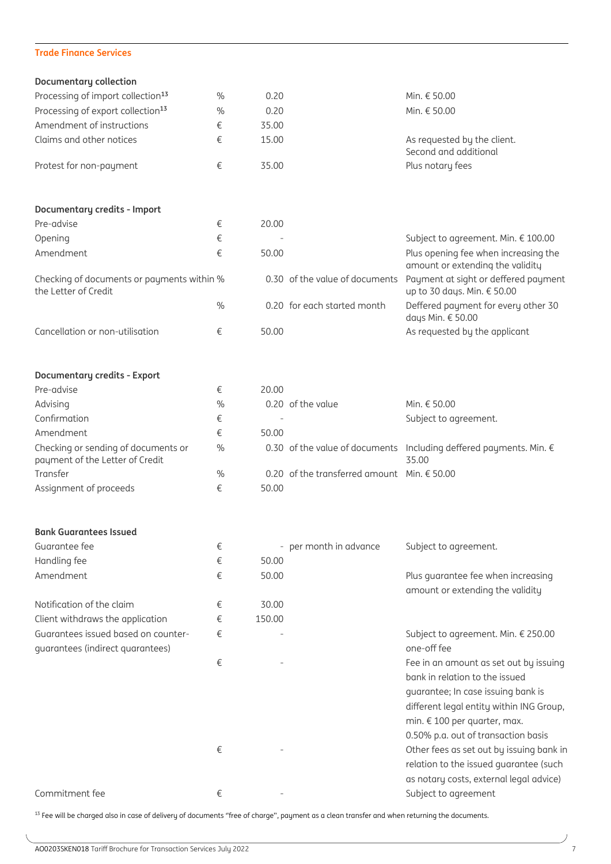| <b>Documentary collection</b>                                           |               |        |                                             |                                                                                      |
|-------------------------------------------------------------------------|---------------|--------|---------------------------------------------|--------------------------------------------------------------------------------------|
| Processing of import collection <sup>13</sup>                           | $\frac{0}{0}$ | 0.20   |                                             | Min. € 50.00                                                                         |
| Processing of export collection <sup>13</sup>                           | $\frac{0}{0}$ | 0.20   |                                             | Min. € 50.00                                                                         |
| Amendment of instructions                                               | €             | 35.00  |                                             |                                                                                      |
| Claims and other notices                                                | €             | 15.00  |                                             | As requested by the client.<br>Second and additional                                 |
| Protest for non-payment                                                 | €             | 35.00  |                                             | Plus notary fees                                                                     |
| <b>Documentary credits - Import</b>                                     |               |        |                                             |                                                                                      |
| Pre-advise                                                              | €             | 20.00  |                                             |                                                                                      |
| Opening                                                                 | €             |        |                                             | Subject to agreement. Min. € 100.00                                                  |
| Amendment                                                               | €             | 50.00  |                                             | Plus opening fee when increasing the<br>amount or extending the validity             |
| Checking of documents or payments within %<br>the Letter of Credit      |               |        | 0.30 of the value of documents              | Payment at sight or deffered payment<br>up to 30 days. Min. € 50.00                  |
|                                                                         | $\frac{0}{0}$ |        | 0.20 for each started month                 | Deffered payment for every other 30<br>days Min. € 50.00                             |
| Cancellation or non-utilisation                                         | €             | 50.00  |                                             | As requested by the applicant                                                        |
| <b>Documentary credits - Export</b>                                     |               |        |                                             |                                                                                      |
| Pre-advise                                                              | €             | 20.00  |                                             |                                                                                      |
| Advising                                                                | $\frac{0}{0}$ |        | 0.20 of the value                           | Min. € 50.00                                                                         |
| Confirmation                                                            | €             |        |                                             | Subject to agreement.                                                                |
| Amendment                                                               | €             | 50.00  |                                             |                                                                                      |
| Checking or sending of documents or<br>payment of the Letter of Credit  | $\frac{0}{0}$ |        |                                             | 0.30 of the value of documents Including deffered payments. Min. $\epsilon$<br>35.00 |
| Transfer                                                                | $\frac{0}{0}$ |        | 0.20 of the transferred amount Min. € 50.00 |                                                                                      |
| Assignment of proceeds                                                  | €             | 50.00  |                                             |                                                                                      |
| <b>Bank Guarantees Issued</b>                                           |               |        |                                             |                                                                                      |
| Guarantee fee                                                           | €             |        | - per month in advance                      | Subject to agreement.                                                                |
| Handling fee                                                            | €             | 50.00  |                                             |                                                                                      |
| Amendment                                                               | €             | 50.00  |                                             | Plus guarantee fee when increasing<br>amount or extending the validity               |
| Notification of the claim                                               | €             | 30.00  |                                             |                                                                                      |
| Client withdraws the application                                        | €             | 150.00 |                                             |                                                                                      |
| Guarantees issued based on counter-<br>guarantees (indirect quarantees) | €             |        |                                             | Subject to agreement. Min. € 250.00<br>one-off fee                                   |
|                                                                         | €             |        |                                             | Fee in an amount as set out by issuing                                               |
|                                                                         |               |        |                                             | bank in relation to the issued                                                       |
|                                                                         |               |        |                                             | quarantee; In case issuing bank is                                                   |
|                                                                         |               |        |                                             | different legal entity within ING Group,                                             |
|                                                                         |               |        |                                             | min. € 100 per quarter, max.                                                         |
|                                                                         |               |        |                                             | 0.50% p.a. out of transaction basis                                                  |
|                                                                         | €             |        |                                             | Other fees as set out by issuing bank in                                             |
|                                                                         |               |        |                                             | relation to the issued guarantee (such                                               |
|                                                                         |               |        |                                             | as notary costs, external legal advice)                                              |
| Commitment fee                                                          | €             |        |                                             | Subject to agreement                                                                 |

 $^{13}$  Fee will be charged also in case of delivery of documents "free of charge", payment as a clean transfer and when returning the documents.

**Trade Finance Services**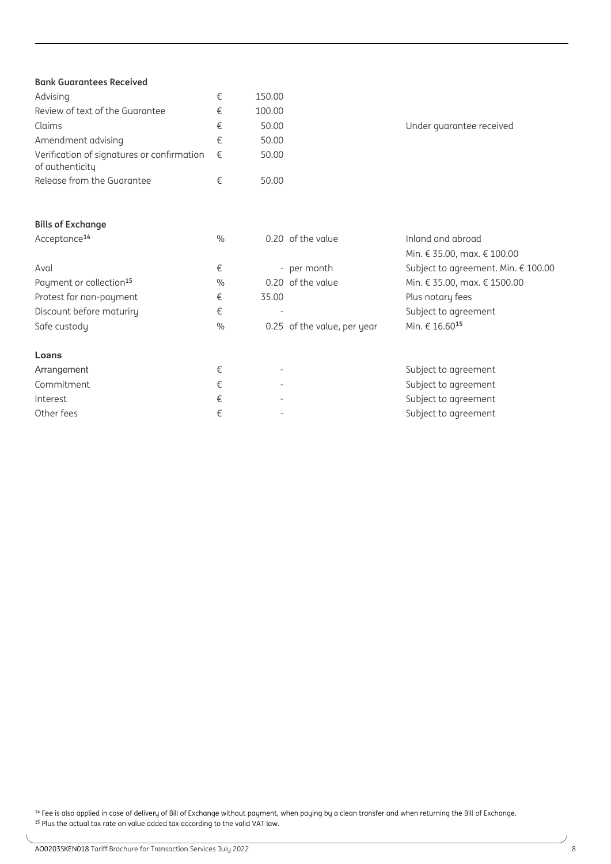| <b>Bank Guarantees Received</b>                               |               |        |                             |                                                  |
|---------------------------------------------------------------|---------------|--------|-----------------------------|--------------------------------------------------|
| Advising                                                      | €             | 150.00 |                             |                                                  |
| Review of text of the Guarantee                               | €             | 100.00 |                             |                                                  |
| Claims                                                        | €             | 50.00  |                             | Under guarantee received                         |
| Amendment advising                                            | €             | 50.00  |                             |                                                  |
| Verification of signatures or confirmation<br>of authenticity | €             | 50.00  |                             |                                                  |
| Release from the Guarantee                                    | €             | 50.00  |                             |                                                  |
| <b>Bills of Exchange</b>                                      |               |        |                             |                                                  |
| Acceptance <sup>14</sup>                                      | $\frac{0}{0}$ |        | 0.20 of the value           | Inland and abroad<br>Min. € 35.00, max. € 100.00 |
| Aval                                                          | €             |        | - per month                 | Subject to agreement. Min. € 100.00              |
| Payment or collection <sup>15</sup>                           | $\%$          |        | 0.20 of the value           | Min. € 35.00, max. € 1500.00                     |
| Protest for non-payment                                       | €             | 35.00  |                             | Plus notary fees                                 |
| Discount before maturiry                                      | €             |        |                             | Subject to agreement                             |
| Safe custody                                                  | $\%$          |        | 0.25 of the value, per year | Min. € 16.60 <sup>15</sup>                       |
| Loans                                                         |               |        |                             |                                                  |
| Arrangement                                                   | €             |        |                             | Subject to agreement                             |
| Commitment                                                    | €             |        |                             | Subject to agreement                             |
| Interest                                                      | €             |        |                             | Subject to agreement                             |
| Other fees                                                    | €             |        |                             | Subject to agreement                             |

14 Fee is also applied in case of delivery of Bill of Exchange without payment, when paying by a clean transfer and when returning the Bill of Exchange. <sup>15</sup> Plus the actual tax rate on value added tax according to the valid VAT law.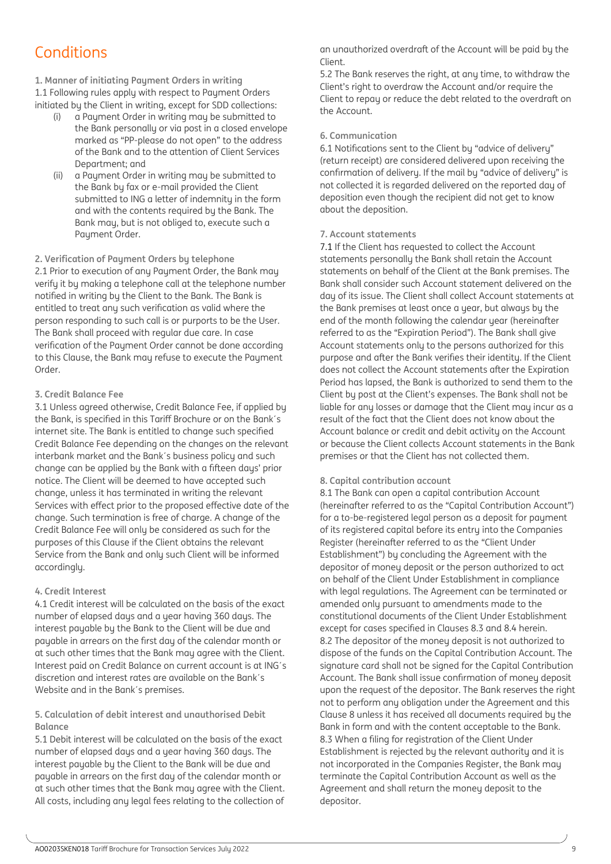### **Conditions**

**1. Manner of initiating Payment Orders in writing** 1.1 Following rules apply with respect to Payment Orders initiated by the Client in writing, except for SDD collections:

- (i) a Payment Order in writing may be submitted to the Bank personally or via post in a closed envelope marked as "PP-please do not open" to the address of the Bank and to the attention of Client Services Department; and
- (ii) a Payment Order in writing may be submitted to the Bank by fax or e-mail provided the Client submitted to ING a letter of indemnity in the form and with the contents required by the Bank. The Bank may, but is not obliged to, execute such a Payment Order.

#### **2. Verification of Payment Orders by telephone**

2.1 Prior to execution of any Payment Order, the Bank may verify it by making a telephone call at the telephone number notified in writing by the Client to the Bank. The Bank is entitled to treat any such verification as valid where the person responding to such call is or purports to be the User. The Bank shall proceed with regular due care. In case verification of the Payment Order cannot be done according to this Clause, the Bank may refuse to execute the Payment Order.

#### **3. Credit Balance Fee**

3.1 Unless agreed otherwise, Credit Balance Fee, if applied by the Bank, is specified in this Tariff Brochure or on the Bank´s internet site. The Bank is entitled to change such specified Credit Balance Fee depending on the changes on the relevant interbank market and the Bank´s business policy and such change can be applied by the Bank with a fifteen days' prior notice. The Client will be deemed to have accepted such change, unless it has terminated in writing the relevant Services with effect prior to the proposed effective date of the change. Such termination is free of charge. A change of the Credit Balance Fee will only be considered as such for the purposes of this Clause if the Client obtains the relevant Service from the Bank and only such Client will be informed accordingly.

#### **4. Credit Interest**

4.1 Credit interest will be calculated on the basis of the exact number of elapsed days and a year having 360 days. The interest payable by the Bank to the Client will be due and payable in arrears on the first day of the calendar month or at such other times that the Bank may agree with the Client. Interest paid on Credit Balance on current account is at ING´s discretion and interest rates are available on the Bank´s Website and in the Bank´s premises.

#### **5. Calculation of debit interest and unauthorised Debit Balance**

5.1 Debit interest will be calculated on the basis of the exact number of elapsed days and a year having 360 days. The interest payable by the Client to the Bank will be due and payable in arrears on the first day of the calendar month or at such other times that the Bank may agree with the Client. All costs, including any legal fees relating to the collection of

an unauthorized overdraft of the Account will be paid by the Client.

5.2 The Bank reserves the right, at any time, to withdraw the Client's right to overdraw the Account and/or require the Client to repay or reduce the debt related to the overdraft on the Account.

#### **6. Communication**

6.1 Notifications sent to the Client by "advice of delivery" (return receipt) are considered delivered upon receiving the confirmation of delivery. If the mail by "advice of delivery" is not collected it is regarded delivered on the reported day of deposition even though the recipient did not get to know about the deposition.

#### **7. Account statements**

7.1 If the Client has requested to collect the Account statements personally the Bank shall retain the Account statements on behalf of the Client at the Bank premises. The Bank shall consider such Account statement delivered on the day of its issue. The Client shall collect Account statements at the Bank premises at least once a year, but always by the end of the month following the calendar year (hereinafter referred to as the "Expiration Period"). The Bank shall give Account statements only to the persons authorized for this purpose and after the Bank verifies their identity. If the Client does not collect the Account statements after the Expiration Period has lapsed, the Bank is authorized to send them to the Client by post at the Client's expenses. The Bank shall not be liable for any losses or damage that the Client may incur as a result of the fact that the Client does not know about the Account balance or credit and debit activity on the Account or because the Client collects Account statements in the Bank premises or that the Client has not collected them.

#### **8. Capital contribution account**

8.1 The Bank can open a capital contribution Account (hereinafter referred to as the "Capital Contribution Account") for a to-be-registered legal person as a deposit for payment of its registered capital before its entry into the Companies Register (hereinafter referred to as the "Client Under Establishment") by concluding the Agreement with the depositor of money deposit or the person authorized to act on behalf of the Client Under Establishment in compliance with legal regulations. The Agreement can be terminated or amended only pursuant to amendments made to the constitutional documents of the Client Under Establishment except for cases specified in Clauses 8.3 and 8.4 herein. 8.2 The depositor of the money deposit is not authorized to dispose of the funds on the Capital Contribution Account. The signature card shall not be signed for the Capital Contribution Account. The Bank shall issue confirmation of money deposit upon the request of the depositor. The Bank reserves the right not to perform any obligation under the Agreement and this Clause 8 unless it has received all documents required by the Bank in form and with the content acceptable to the Bank. 8.3 When a filing for registration of the Client Under Establishment is rejected by the relevant authority and it is not incorporated in the Companies Register, the Bank may terminate the Capital Contribution Account as well as the Agreement and shall return the money deposit to the depositor.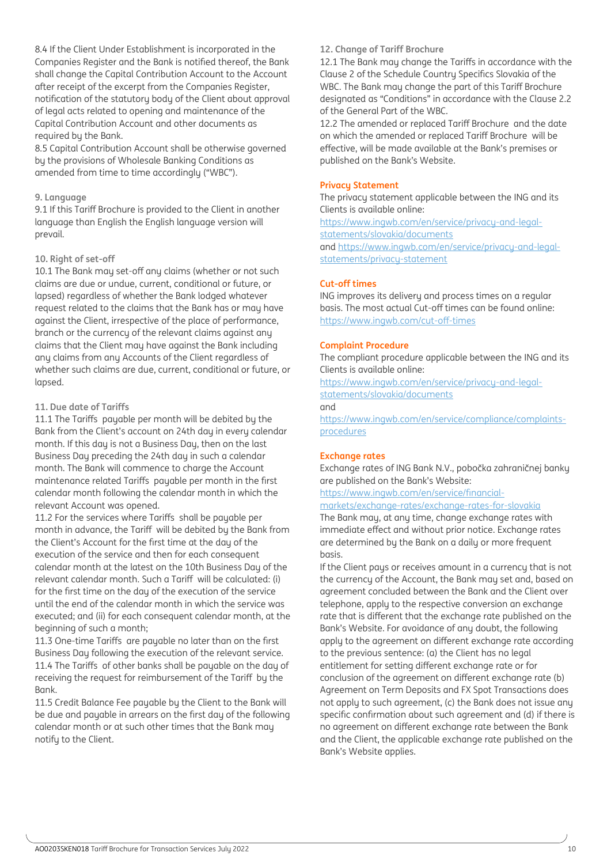8.4 If the Client Under Establishment is incorporated in the Companies Register and the Bank is notified thereof, the Bank shall change the Capital Contribution Account to the Account after receipt of the excerpt from the Companies Register, notification of the statutory body of the Client about approval of legal acts related to opening and maintenance of the Capital Contribution Account and other documents as required by the Bank.

8.5 Capital Contribution Account shall be otherwise governed by the provisions of Wholesale Banking Conditions as amended from time to time accordingly ("WBC").

#### **9. Language**

9.1 If this Tariff Brochure is provided to the Client in another language than English the English language version will prevail.

#### **10. Right of set-off**

10.1 The Bank may set-off any claims (whether or not such claims are due or undue, current, conditional or future, or lapsed) regardless of whether the Bank lodged whatever request related to the claims that the Bank has or may have against the Client, irrespective of the place of performance, branch or the currency of the relevant claims against any claims that the Client may have against the Bank including any claims from any Accounts of the Client regardless of whether such claims are due, current, conditional or future, or lapsed.

#### **11. Due date of Tariffs**

11.1 The Tariffs payable per month will be debited by the Bank from the Client's account on 24th day in every calendar month. If this day is not a Business Day, then on the last Business Day preceding the 24th day in such a calendar month. The Bank will commence to charge the Account maintenance related Tariffs payable per month in the first calendar month following the calendar month in which the relevant Account was opened.

11.2 For the services where Tariffs shall be payable per month in advance, the Tariff will be debited by the Bank from the Client's Account for the first time at the day of the execution of the service and then for each consequent calendar month at the latest on the 10th Business Day of the relevant calendar month. Such a Tariff will be calculated: (i) for the first time on the day of the execution of the service until the end of the calendar month in which the service was executed; and (ii) for each consequent calendar month, at the beginning of such a month;

11.3 One-time Tariffs are payable no later than on the first Business Day following the execution of the relevant service. 11.4 The Tariffs of other banks shall be payable on the day of receiving the request for reimbursement of the Tariff by the Bank.

11.5 Credit Balance Fee pauable bu the Client to the Bank will be due and payable in arrears on the first day of the following calendar month or at such other times that the Bank may notify to the Client.

#### **12. Change of Tariff Brochure**

12.1 The Bank may change the Tariffs in accordance with the Clause 2 of the Schedule Country Specifics Slovakia of the WBC. The Bank may change the part of this Tariff Brochure designated as "Conditions" in accordance with the Clause 2.2 of the General Part of the WBC.

12.2 The amended or replaced Tariff Brochure and the date on which the amended or replaced Tariff Brochure will be effective, will be made available at the Bank's premises or published on the Bank's Website.

#### **Privacy Statement**

The privacy statement applicable between the ING and its Clients is available online:

[https://www.ingwb.com/en/service/privacy-and-legal](https://eur02.safelinks.protection.outlook.com/?url=https%3A%2F%2Fwww.ingwb.com%2Fen%2Fservice%2Fprivacy-and-legal-statements%2Fslovakia%2Fdocuments&data=05%7C01%7Cmiriam.zelenakova%40ing.com%7C21a2723dfb654a43b84108da4855cd68%7C587b6ea13db94fe1a9d785d4c64ce5cc%7C0%7C0%7C637901830595874033%7CUnknown%7CTWFpbGZsb3d8eyJWIjoiMC4wLjAwMDAiLCJQIjoiV2luMzIiLCJBTiI6Ik1haWwiLCJXVCI6Mn0%3D%7C3000%7C%7C%7C&sdata=CBAM%2FFbgKY4hvGA9%2FTyWAwzshrdhWEKvByrTTdlsay0%3D&reserved=0)[statements/slovakia/documents](https://eur02.safelinks.protection.outlook.com/?url=https%3A%2F%2Fwww.ingwb.com%2Fen%2Fservice%2Fprivacy-and-legal-statements%2Fslovakia%2Fdocuments&data=05%7C01%7Cmiriam.zelenakova%40ing.com%7C21a2723dfb654a43b84108da4855cd68%7C587b6ea13db94fe1a9d785d4c64ce5cc%7C0%7C0%7C637901830595874033%7CUnknown%7CTWFpbGZsb3d8eyJWIjoiMC4wLjAwMDAiLCJQIjoiV2luMzIiLCJBTiI6Ik1haWwiLCJXVCI6Mn0%3D%7C3000%7C%7C%7C&sdata=CBAM%2FFbgKY4hvGA9%2FTyWAwzshrdhWEKvByrTTdlsay0%3D&reserved=0)

and [https://www.ingwb.com/en/service/privacy-and-legal](https://eur02.safelinks.protection.outlook.com/?url=https%3A%2F%2Fwww.ingwb.com%2Fen%2Fservice%2Fprivacy-and-legal-statements%2Fprivacy-statement&data=05%7C01%7Cmiriam.zelenakova%40ing.com%7C21a2723dfb654a43b84108da4855cd68%7C587b6ea13db94fe1a9d785d4c64ce5cc%7C0%7C0%7C637901830595874033%7CUnknown%7CTWFpbGZsb3d8eyJWIjoiMC4wLjAwMDAiLCJQIjoiV2luMzIiLCJBTiI6Ik1haWwiLCJXVCI6Mn0%3D%7C3000%7C%7C%7C&sdata=fvHgnx1uu2RF6oFUQJWqdRVJgxIj2CAcHeyVRQDwv0E%3D&reserved=0)[statements/privacy-statement](https://eur02.safelinks.protection.outlook.com/?url=https%3A%2F%2Fwww.ingwb.com%2Fen%2Fservice%2Fprivacy-and-legal-statements%2Fprivacy-statement&data=05%7C01%7Cmiriam.zelenakova%40ing.com%7C21a2723dfb654a43b84108da4855cd68%7C587b6ea13db94fe1a9d785d4c64ce5cc%7C0%7C0%7C637901830595874033%7CUnknown%7CTWFpbGZsb3d8eyJWIjoiMC4wLjAwMDAiLCJQIjoiV2luMzIiLCJBTiI6Ik1haWwiLCJXVCI6Mn0%3D%7C3000%7C%7C%7C&sdata=fvHgnx1uu2RF6oFUQJWqdRVJgxIj2CAcHeyVRQDwv0E%3D&reserved=0)

#### **Cut-off times**

ING improves its delivery and process times on a regular basis. The most actual Cut-off times can be found online: <https://www.ingwb.com/cut-off-times>

#### **Complaint Procedure**

The compliant procedure applicable between the ING and its Clients is available online:

[https://www.ingwb.com/en/service/privacy-and-legal](https://eur02.safelinks.protection.outlook.com/?url=https%3A%2F%2Fwww.ingwb.com%2Fen%2Fservice%2Fprivacy-and-legal-statements%2Fslovakia%2Fdocuments&data=05%7C01%7Cmiriam.zelenakova%40ing.com%7C21a2723dfb654a43b84108da4855cd68%7C587b6ea13db94fe1a9d785d4c64ce5cc%7C0%7C0%7C637901830595874033%7CUnknown%7CTWFpbGZsb3d8eyJWIjoiMC4wLjAwMDAiLCJQIjoiV2luMzIiLCJBTiI6Ik1haWwiLCJXVCI6Mn0%3D%7C3000%7C%7C%7C&sdata=CBAM%2FFbgKY4hvGA9%2FTyWAwzshrdhWEKvByrTTdlsay0%3D&reserved=0)[statements/slovakia/documents](https://eur02.safelinks.protection.outlook.com/?url=https%3A%2F%2Fwww.ingwb.com%2Fen%2Fservice%2Fprivacy-and-legal-statements%2Fslovakia%2Fdocuments&data=05%7C01%7Cmiriam.zelenakova%40ing.com%7C21a2723dfb654a43b84108da4855cd68%7C587b6ea13db94fe1a9d785d4c64ce5cc%7C0%7C0%7C637901830595874033%7CUnknown%7CTWFpbGZsb3d8eyJWIjoiMC4wLjAwMDAiLCJQIjoiV2luMzIiLCJBTiI6Ik1haWwiLCJXVCI6Mn0%3D%7C3000%7C%7C%7C&sdata=CBAM%2FFbgKY4hvGA9%2FTyWAwzshrdhWEKvByrTTdlsay0%3D&reserved=0)

and

[https://www.ingwb.com/en/service/compliance/complaints](https://www.ingwb.com/en/service/compliance/complaints-procedures)[procedures](https://www.ingwb.com/en/service/compliance/complaints-procedures)

#### **Exchange rates**

Exchange rates of ING Bank N.V., pobočka zahraničnej banky are published on the Bank's Website:

#### [https://www.ingwb.com/en/service/financial-](https://eur02.safelinks.protection.outlook.com/?url=https%3A%2F%2Fwww.ingwb.com%2Fen%2Fservice%2Ffinancial-markets%2Fexchange-rates%2Fexchange-rates-for-slovakia&data=05%7C01%7Cmiriam.zelenakova%40ing.com%7C21a2723dfb654a43b84108da4855cd68%7C587b6ea13db94fe1a9d785d4c64ce5cc%7C0%7C0%7C637901830596030261%7CUnknown%7CTWFpbGZsb3d8eyJWIjoiMC4wLjAwMDAiLCJQIjoiV2luMzIiLCJBTiI6Ik1haWwiLCJXVCI6Mn0%3D%7C3000%7C%7C%7C&sdata=DQAbmN4xmUcDUp7Rq7gajNpm51gnCjN7nrYQhm5SE68%3D&reserved=0)

#### [markets/exchange-rates/exchange-rates-for-slovakia](https://eur02.safelinks.protection.outlook.com/?url=https%3A%2F%2Fwww.ingwb.com%2Fen%2Fservice%2Ffinancial-markets%2Fexchange-rates%2Fexchange-rates-for-slovakia&data=05%7C01%7Cmiriam.zelenakova%40ing.com%7C21a2723dfb654a43b84108da4855cd68%7C587b6ea13db94fe1a9d785d4c64ce5cc%7C0%7C0%7C637901830596030261%7CUnknown%7CTWFpbGZsb3d8eyJWIjoiMC4wLjAwMDAiLCJQIjoiV2luMzIiLCJBTiI6Ik1haWwiLCJXVCI6Mn0%3D%7C3000%7C%7C%7C&sdata=DQAbmN4xmUcDUp7Rq7gajNpm51gnCjN7nrYQhm5SE68%3D&reserved=0)

The Bank may, at any time, change exchange rates with immediate effect and without prior notice. Exchange rates are determined by the Bank on a daily or more frequent basis.

If the Client pays or receives amount in a currency that is not the currency of the Account, the Bank may set and, based on agreement concluded between the Bank and the Client over telephone, apply to the respective conversion an exchange rate that is different that the exchange rate published on the Bank's Website. For avoidance of any doubt, the following apply to the agreement on different exchange rate according to the previous sentence: (a) the Client has no legal entitlement for setting different exchange rate or for conclusion of the agreement on different exchange rate (b) Agreement on Term Deposits and FX Spot Transactions does not apply to such agreement, (c) the Bank does not issue any specific confirmation about such agreement and (d) if there is no agreement on different exchange rate between the Bank and the Client, the applicable exchange rate published on the Bank's Website applies.